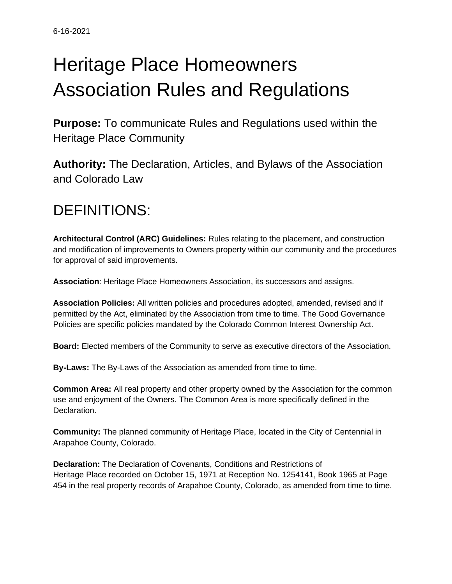# Heritage Place Homeowners Association Rules and Regulations

**Purpose:** To communicate Rules and Regulations used within the Heritage Place Community

**Authority:** The Declaration, Articles, and Bylaws of the Association and Colorado Law

# DEFINITIONS:

**Architectural Control (ARC) Guidelines:** Rules relating to the placement, and construction and modification of improvements to Owners property within our community and the procedures for approval of said improvements.

**Association**: Heritage Place Homeowners Association, its successors and assigns.

**Association Policies:** All written policies and procedures adopted, amended, revised and if permitted by the Act, eliminated by the Association from time to time. The Good Governance Policies are specific policies mandated by the Colorado Common Interest Ownership Act.

**Board:** Elected members of the Community to serve as executive directors of the Association.

**By-Laws:** The By-Laws of the Association as amended from time to time.

**Common Area:** All real property and other property owned by the Association for the common use and enjoyment of the Owners. The Common Area is more specifically defined in the Declaration.

**Community:** The planned community of Heritage Place, located in the City of Centennial in Arapahoe County, Colorado.

**Declaration:** The Declaration of Covenants, Conditions and Restrictions of Heritage Place recorded on October 15, 1971 at Reception No. 1254141, Book 1965 at Page 454 in the real property records of Arapahoe County, Colorado, as amended from time to time.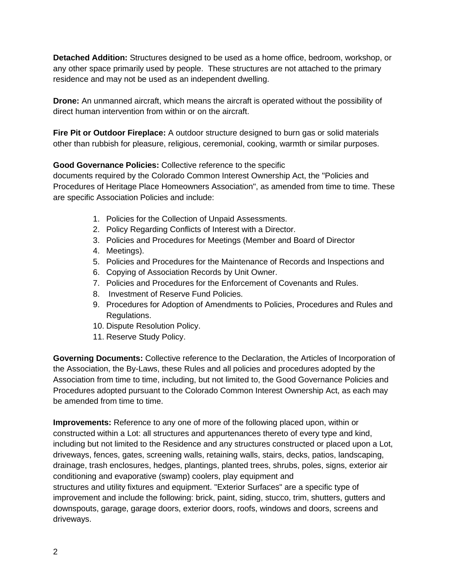**Detached Addition:** Structures designed to be used as a home office, bedroom, workshop, or any other space primarily used by people. These structures are not attached to the primary residence and may not be used as an independent dwelling.

**Drone:** An unmanned aircraft, which means the aircraft is operated without the possibility of direct human intervention from within or on the aircraft.

**Fire Pit or Outdoor Fireplace:** A outdoor structure designed to burn gas or solid materials other than rubbish for pleasure, religious, ceremonial, cooking, warmth or similar purposes.

**Good Governance Policies:** Collective reference to the specific

documents required by the Colorado Common Interest Ownership Act, the "Policies and Procedures of Heritage Place Homeowners Association", as amended from time to time. These are specific Association Policies and include:

- 1. Policies for the Collection of Unpaid Assessments.
- 2. Policy Regarding Conflicts of Interest with a Director.
- 3. Policies and Procedures for Meetings (Member and Board of Director
- 4. Meetings).
- 5. Policies and Procedures for the Maintenance of Records and Inspections and
- 6. Copying of Association Records by Unit Owner.
- 7. Policies and Procedures for the Enforcement of Covenants and Rules.
- 8. Investment of Reserve Fund Policies.
- 9. Procedures for Adoption of Amendments to Policies, Procedures and Rules and Regulations.
- 10. Dispute Resolution Policy.
- 11. Reserve Study Policy.

**Governing Documents:** Collective reference to the Declaration, the Articles of Incorporation of the Association, the By-Laws, these Rules and all policies and procedures adopted by the Association from time to time, including, but not limited to, the Good Governance Policies and Procedures adopted pursuant to the Colorado Common Interest Ownership Act, as each may be amended from time to time.

**Improvements:** Reference to any one of more of the following placed upon, within or constructed within a Lot: all structures and appurtenances thereto of every type and kind, including but not limited to the Residence and any structures constructed or placed upon a Lot, driveways, fences, gates, screening walls, retaining walls, stairs, decks, patios, landscaping, drainage, trash enclosures, hedges, plantings, planted trees, shrubs, poles, signs, exterior air conditioning and evaporative (swamp) coolers, play equipment and structures and utility fixtures and equipment. "Exterior Surfaces" are a specific type of improvement and include the following: brick, paint, siding, stucco, trim, shutters, gutters and downspouts, garage, garage doors, exterior doors, roofs, windows and doors, screens and driveways.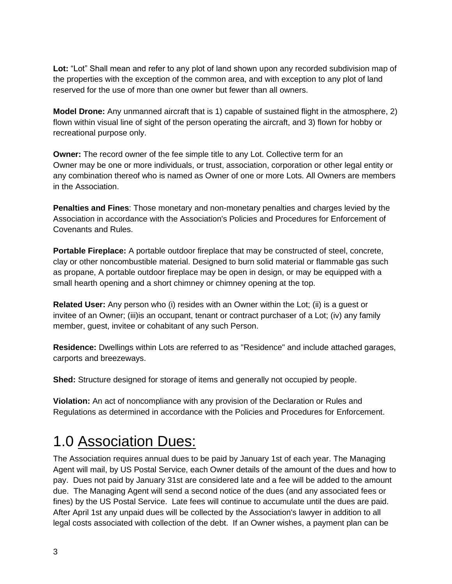**Lot:** "Lot" Shall mean and refer to any plot of land shown upon any recorded subdivision map of the properties with the exception of the common area, and with exception to any plot of land reserved for the use of more than one owner but fewer than all owners.

**Model Drone:** Any unmanned aircraft that is 1) capable of sustained flight in the atmosphere, 2) flown within visual line of sight of the person operating the aircraft, and 3) flown for hobby or recreational purpose only.

**Owner:** The record owner of the fee simple title to any Lot. Collective term for an Owner may be one or more individuals, or trust, association, corporation or other legal entity or any combination thereof who is named as Owner of one or more Lots. All Owners are members in the Association.

**Penalties and Fines**: Those monetary and non-monetary penalties and charges levied by the Association in accordance with the Association's Policies and Procedures for Enforcement of Covenants and Rules.

**Portable Fireplace:** A portable outdoor fireplace that may be constructed of steel, concrete, clay or other noncombustible material. Designed to burn solid material or flammable gas such as propane, A portable outdoor fireplace may be open in design, or may be equipped with a small hearth opening and a short chimney or chimney opening at the top.

**Related User:** Any person who (i) resides with an Owner within the Lot; (ii) is a guest or invitee of an Owner; (iii)is an occupant, tenant or contract purchaser of a Lot; (iv) any family member, guest, invitee or cohabitant of any such Person.

**Residence:** Dwellings within Lots are referred to as "Residence" and include attached garages, carports and breezeways.

**Shed:** Structure designed for storage of items and generally not occupied by people.

**Violation:** An act of noncompliance with any provision of the Declaration or Rules and Regulations as determined in accordance with the Policies and Procedures for Enforcement.

# 1.0 Association Dues:

The Association requires annual dues to be paid by January 1st of each year. The Managing Agent will mail, by US Postal Service, each Owner details of the amount of the dues and how to pay. Dues not paid by January 31st are considered late and a fee will be added to the amount due. The Managing Agent will send a second notice of the dues (and any associated fees or fines) by the US Postal Service. Late fees will continue to accumulate until the dues are paid. After April 1st any unpaid dues will be collected by the Association's lawyer in addition to all legal costs associated with collection of the debt. If an Owner wishes, a payment plan can be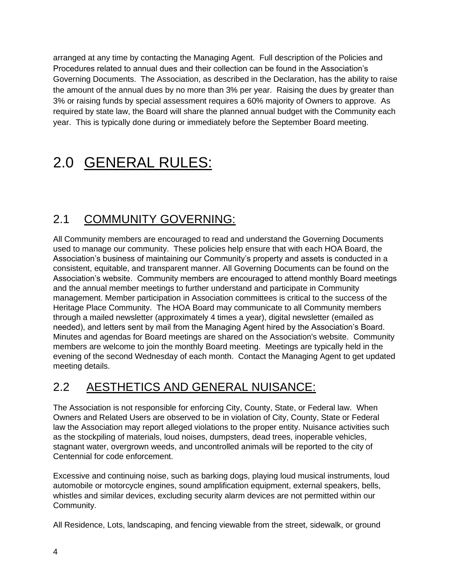arranged at any time by contacting the Managing Agent. Full description of the Policies and Procedures related to annual dues and their collection can be found in the Association's Governing Documents. The Association, as described in the Declaration, has the ability to raise the amount of the annual dues by no more than 3% per year. Raising the dues by greater than 3% or raising funds by special assessment requires a 60% majority of Owners to approve. As required by state law, the Board will share the planned annual budget with the Community each year. This is typically done during or immediately before the September Board meeting.

# 2.0 GENERAL RULES:

# 2.1 COMMUNITY GOVERNING:

All Community members are encouraged to read and understand the Governing Documents used to manage our community. These policies help ensure that with each HOA Board, the Association's business of maintaining our Community's property and assets is conducted in a consistent, equitable, and transparent manner. All Governing Documents can be found on the Association's website. Community members are encouraged to attend monthly Board meetings and the annual member meetings to further understand and participate in Community management. Member participation in Association committees is critical to the success of the Heritage Place Community. The HOA Board may communicate to all Community members through a mailed newsletter (approximately 4 times a year), digital newsletter (emailed as needed), and letters sent by mail from the Managing Agent hired by the Association's Board. Minutes and agendas for Board meetings are shared on the Association's website. Community members are welcome to join the monthly Board meeting. Meetings are typically held in the evening of the second Wednesday of each month. Contact the Managing Agent to get updated meeting details.

## 2.2 AESTHETICS AND GENERAL NUISANCE:

The Association is not responsible for enforcing City, County, State, or Federal law. When Owners and Related Users are observed to be in violation of City, County, State or Federal law the Association may report alleged violations to the proper entity. Nuisance activities such as the stockpiling of materials, loud noises, dumpsters, dead trees, inoperable vehicles, stagnant water, overgrown weeds, and uncontrolled animals will be reported to the city of Centennial for code enforcement.

Excessive and continuing noise, such as barking dogs, playing loud musical instruments, loud automobile or motorcycle engines, sound amplification equipment, external speakers, bells, whistles and similar devices, excluding security alarm devices are not permitted within our Community.

All Residence, Lots, landscaping, and fencing viewable from the street, sidewalk, or ground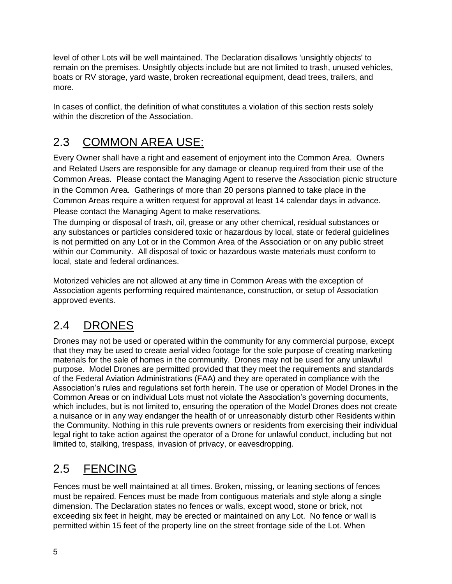level of other Lots will be well maintained. The Declaration disallows 'unsightly objects' to remain on the premises. Unsightly objects include but are not limited to trash, unused vehicles, boats or RV storage, yard waste, broken recreational equipment, dead trees, trailers, and more.

In cases of conflict, the definition of what constitutes a violation of this section rests solely within the discretion of the Association.

# 2.3 COMMON AREA USE:

Every Owner shall have a right and easement of enjoyment into the Common Area. Owners and Related Users are responsible for any damage or cleanup required from their use of the Common Areas. Please contact the Managing Agent to reserve the Association picnic structure in the Common Area. Gatherings of more than 20 persons planned to take place in the Common Areas require a written request for approval at least 14 calendar days in advance. Please contact the Managing Agent to make reservations.

The dumping or disposal of trash, oil, grease or any other chemical, residual substances or any substances or particles considered toxic or hazardous by local, state or federal guidelines is not permitted on any Lot or in the Common Area of the Association or on any public street within our Community. All disposal of toxic or hazardous waste materials must conform to local, state and federal ordinances.

Motorized vehicles are not allowed at any time in Common Areas with the exception of Association agents performing required maintenance, construction, or setup of Association approved events.

# 2.4 DRONES

Drones may not be used or operated within the community for any commercial purpose, except that they may be used to create aerial video footage for the sole purpose of creating marketing materials for the sale of homes in the community. Drones may not be used for any unlawful purpose. Model Drones are permitted provided that they meet the requirements and standards of the Federal Aviation Administrations (FAA) and they are operated in compliance with the Association's rules and regulations set forth herein. The use or operation of Model Drones in the Common Areas or on individual Lots must not violate the Association's governing documents, which includes, but is not limited to, ensuring the operation of the Model Drones does not create a nuisance or in any way endanger the health of or unreasonably disturb other Residents within the Community. Nothing in this rule prevents owners or residents from exercising their individual legal right to take action against the operator of a Drone for unlawful conduct, including but not limited to, stalking, trespass, invasion of privacy, or eavesdropping.

# 2.5 FENCING

Fences must be well maintained at all times. Broken, missing, or leaning sections of fences must be repaired. Fences must be made from contiguous materials and style along a single dimension. The Declaration states no fences or walls, except wood, stone or brick, not exceeding six feet in height, may be erected or maintained on any Lot. No fence or wall is permitted within 15 feet of the property line on the street frontage side of the Lot. When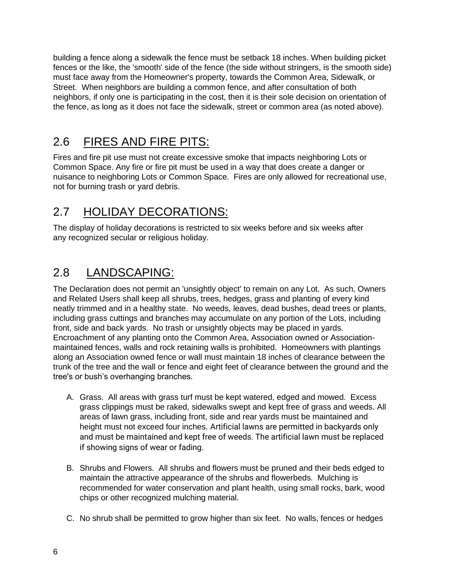building a fence along a sidewalk the fence must be setback 18 inches. When building picket fences or the like, the 'smooth' side of the fence (the side without stringers, is the smooth side) must face away from the Homeowner's property, towards the Common Area, Sidewalk, or Street. When neighbors are building a common fence, and after consultation of both neighbors, if only one is participating in the cost, then it is their sole decision on orientation of the fence, as long as it does not face the sidewalk, street or common area (as noted above).

# 2.6 FIRES AND FIRE PITS:

Fires and fire pit use must not create excessive smoke that impacts neighboring Lots or Common Space. Any fire or fire pit must be used in a way that does create a danger or nuisance to neighboring Lots or Common Space. Fires are only allowed for recreational use, not for burning trash or yard debris.

# 2.7 HOLIDAY DECORATIONS:

The display of holiday decorations is restricted to six weeks before and six weeks after any recognized secular or religious holiday.

# 2.8 LANDSCAPING:

The Declaration does not permit an 'unsightly object' to remain on any Lot. As such, Owners and Related Users shall keep all shrubs, trees, hedges, grass and planting of every kind neatly trimmed and in a healthy state. No weeds, leaves, dead bushes, dead trees or plants, including grass cuttings and branches may accumulate on any portion of the Lots, including front, side and back yards. No trash or unsightly objects may be placed in yards. Encroachment of any planting onto the Common Area, Association owned or Associationmaintained fences, walls and rock retaining walls is prohibited. Homeowners with plantings along an Association owned fence or wall must maintain 18 inches of clearance between the trunk of the tree and the wall or fence and eight feet of clearance between the ground and the tree's or bush's overhanging branches.

- A. Grass. All areas with grass turf must be kept watered, edged and mowed. Excess grass clippings must be raked, sidewalks swept and kept free of grass and weeds. All areas of lawn grass, including front, side and rear yards must be maintained and height must not exceed four inches. Artificial lawns are permitted in backyards only and must be maintained and kept free of weeds. The artificial lawn must be replaced if showing signs of wear or fading.
- B. Shrubs and Flowers. All shrubs and flowers must be pruned and their beds edged to maintain the attractive appearance of the shrubs and flowerbeds. Mulching is recommended for water conservation and plant health, using small rocks, bark, wood chips or other recognized mulching material.
- C. No shrub shall be permitted to grow higher than six feet. No walls, fences or hedges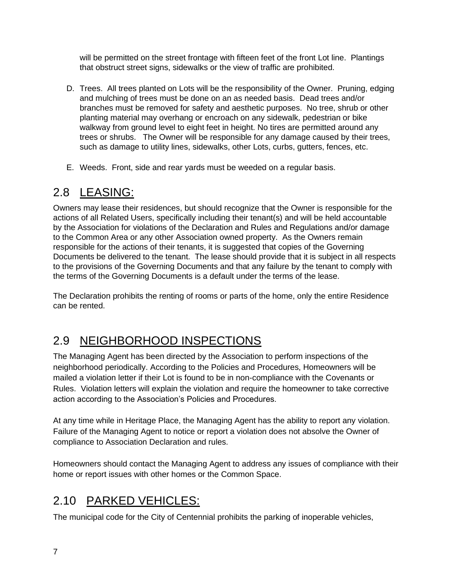will be permitted on the street frontage with fifteen feet of the front Lot line. Plantings that obstruct street signs, sidewalks or the view of traffic are prohibited.

- D. Trees. All trees planted on Lots will be the responsibility of the Owner. Pruning, edging and mulching of trees must be done on an as needed basis. Dead trees and/or branches must be removed for safety and aesthetic purposes. No tree, shrub or other planting material may overhang or encroach on any sidewalk, pedestrian or bike walkway from ground level to eight feet in height. No tires are permitted around any trees or shrubs. The Owner will be responsible for any damage caused by their trees, such as damage to utility lines, sidewalks, other Lots, curbs, gutters, fences, etc.
- E. Weeds. Front, side and rear yards must be weeded on a regular basis.

## 2.8 LEASING:

Owners may lease their residences, but should recognize that the Owner is responsible for the actions of all Related Users, specifically including their tenant(s) and will be held accountable by the Association for violations of the Declaration and Rules and Regulations and/or damage to the Common Area or any other Association owned property. As the Owners remain responsible for the actions of their tenants, it is suggested that copies of the Governing Documents be delivered to the tenant. The lease should provide that it is subject in all respects to the provisions of the Governing Documents and that any failure by the tenant to comply with the terms of the Governing Documents is a default under the terms of the lease.

The Declaration prohibits the renting of rooms or parts of the home, only the entire Residence can be rented.

# 2.9 NEIGHBORHOOD INSPECTIONS

The Managing Agent has been directed by the Association to perform inspections of the neighborhood periodically. According to the Policies and Procedures, Homeowners will be mailed a violation letter if their Lot is found to be in non-compliance with the Covenants or Rules. Violation letters will explain the violation and require the homeowner to take corrective action according to the Association's Policies and Procedures.

At any time while in Heritage Place, the Managing Agent has the ability to report any violation. Failure of the Managing Agent to notice or report a violation does not absolve the Owner of compliance to Association Declaration and rules.

Homeowners should contact the Managing Agent to address any issues of compliance with their home or report issues with other homes or the Common Space.

# 2.10 PARKED VEHICLES:

The municipal code for the City of Centennial prohibits the parking of inoperable vehicles,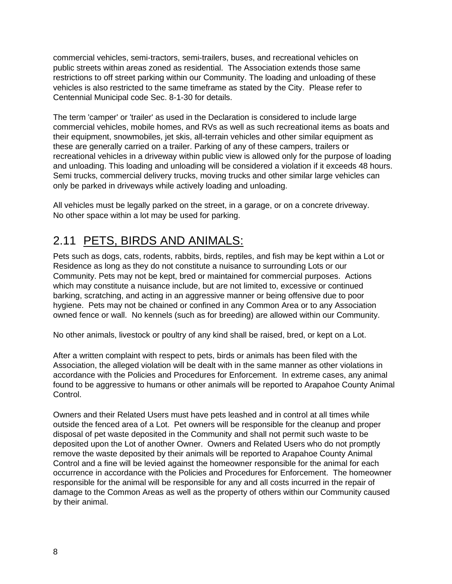commercial vehicles, semi-tractors, semi-trailers, buses, and recreational vehicles on public streets within areas zoned as residential. The Association extends those same restrictions to off street parking within our Community. The loading and unloading of these vehicles is also restricted to the same timeframe as stated by the City. Please refer to Centennial Municipal code Sec. 8-1-30 for details.

The term 'camper' or 'trailer' as used in the Declaration is considered to include large commercial vehicles, mobile homes, and RVs as well as such recreational items as boats and their equipment, snowmobiles, jet skis, all-terrain vehicles and other similar equipment as these are generally carried on a trailer. Parking of any of these campers, trailers or recreational vehicles in a driveway within public view is allowed only for the purpose of loading and unloading. This loading and unloading will be considered a violation if it exceeds 48 hours. Semi trucks, commercial delivery trucks, moving trucks and other similar large vehicles can only be parked in driveways while actively loading and unloading.

All vehicles must be legally parked on the street, in a garage, or on a concrete driveway. No other space within a lot may be used for parking.

# 2.11 PETS, BIRDS AND ANIMALS:

Pets such as dogs, cats, rodents, rabbits, birds, reptiles, and fish may be kept within a Lot or Residence as long as they do not constitute a nuisance to surrounding Lots or our Community. Pets may not be kept, bred or maintained for commercial purposes. Actions which may constitute a nuisance include, but are not limited to, excessive or continued barking, scratching, and acting in an aggressive manner or being offensive due to poor hygiene. Pets may not be chained or confined in any Common Area or to any Association owned fence or wall. No kennels (such as for breeding) are allowed within our Community.

No other animals, livestock or poultry of any kind shall be raised, bred, or kept on a Lot.

After a written complaint with respect to pets, birds or animals has been filed with the Association, the alleged violation will be dealt with in the same manner as other violations in accordance with the Policies and Procedures for Enforcement. In extreme cases, any animal found to be aggressive to humans or other animals will be reported to Arapahoe County Animal Control.

Owners and their Related Users must have pets leashed and in control at all times while outside the fenced area of a Lot. Pet owners will be responsible for the cleanup and proper disposal of pet waste deposited in the Community and shall not permit such waste to be deposited upon the Lot of another Owner. Owners and Related Users who do not promptly remove the waste deposited by their animals will be reported to Arapahoe County Animal Control and a fine will be levied against the homeowner responsible for the animal for each occurrence in accordance with the Policies and Procedures for Enforcement. The homeowner responsible for the animal will be responsible for any and all costs incurred in the repair of damage to the Common Areas as well as the property of others within our Community caused by their animal.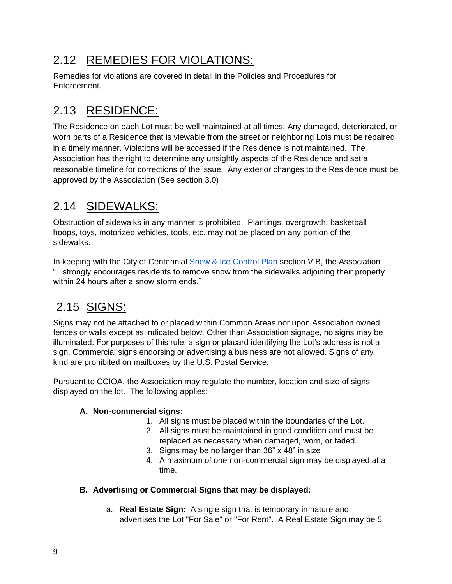# 2.12 REMEDIES FOR VIOLATIONS:

Remedies for violations are covered in detail in the Policies and Procedures for Enforcement.

# 2.13 RESIDENCE:

The Residence on each Lot must be well maintained at all times. Any damaged, deteriorated, or worn parts of a Residence that is viewable from the street or neighboring Lots must be repaired in a timely manner. Violations will be accessed if the Residence is not maintained. The Association has the right to determine any unsightly aspects of the Residence and set a reasonable timeline for corrections of the issue. Any exterior changes to the Residence must be approved by the Association (See section 3.0)

# 2.14 SIDEWALKS:

Obstruction of sidewalks in any manner is prohibited. Plantings, overgrowth, basketball hoops, toys, motorized vehicles, tools, etc. may not be placed on any portion of the sidewalks.

In keeping with the City of Centennial Snow & Ice Control Plan section V.B, the Association "...strongly encourages residents to remove snow from the sidewalks adjoining their property within 24 hours after a snow storm ends."

# 2.15 SIGNS:

Signs may not be attached to or placed within Common Areas nor upon Association owned fences or walls except as indicated below. Other than Association signage, no signs may be illuminated. For purposes of this rule, a sign or placard identifying the Lot's address is not a sign. Commercial signs endorsing or advertising a business are not allowed. Signs of any kind are prohibited on mailboxes by the U.S. Postal Service.

Pursuant to CCIOA, the Association may regulate the number, location and size of signs displayed on the lot. The following applies:

#### **A. Non-commercial signs:**

- 1. All signs must be placed within the boundaries of the Lot.
- 2. All signs must be maintained in good condition and must be replaced as necessary when damaged, worn, or faded.
- 3. Signs may be no larger than 36" x 48" in size
- 4. A maximum of one non-commercial sign may be displayed at a time.

#### **B. Advertising or Commercial Signs that may be displayed:**

a. **Real Estate Sign:** A single sign that is temporary in nature and advertises the Lot "For Sale" or "For Rent". A Real Estate Sign may be 5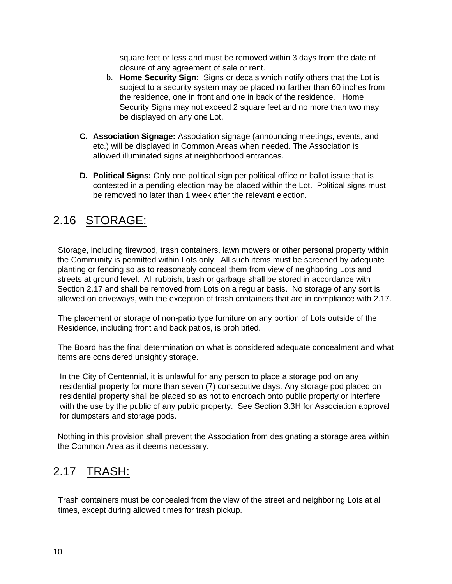square feet or less and must be removed within 3 days from the date of closure of any agreement of sale or rent.

- b. **Home Security Sign:** Signs or decals which notify others that the Lot is subject to a security system may be placed no farther than 60 inches from the residence, one in front and one in back of the residence. Home Security Signs may not exceed 2 square feet and no more than two may be displayed on any one Lot.
- **C. Association Signage:** Association signage (announcing meetings, events, and etc.) will be displayed in Common Areas when needed. The Association is allowed illuminated signs at neighborhood entrances.
- **D. Political Signs:** Only one political sign per political office or ballot issue that is contested in a pending election may be placed within the Lot. Political signs must be removed no later than 1 week after the relevant election.

## 2.16 STORAGE:

Storage, including firewood, trash containers, lawn mowers or other personal property within the Community is permitted within Lots only. All such items must be screened by adequate planting or fencing so as to reasonably conceal them from view of neighboring Lots and streets at ground level. All rubbish, trash or garbage shall be stored in accordance with Section 2.17 and shall be removed from Lots on a regular basis. No storage of any sort is allowed on driveways, with the exception of trash containers that are in compliance with 2.17.

The placement or storage of non-patio type furniture on any portion of Lots outside of the Residence, including front and back patios, is prohibited.

The Board has the final determination on what is considered adequate concealment and what items are considered unsightly storage.

In the City of Centennial, it is unlawful for any person to place a storage pod on any residential property for more than seven (7) consecutive days. Any storage pod placed on residential property shall be placed so as not to encroach onto public property or interfere with the use by the public of any public property. See Section 3.3H for Association approval for dumpsters and storage pods.

Nothing in this provision shall prevent the Association from designating a storage area within the Common Area as it deems necessary.

# 2.17 TRASH:

Trash containers must be concealed from the view of the street and neighboring Lots at all times, except during allowed times for trash pickup.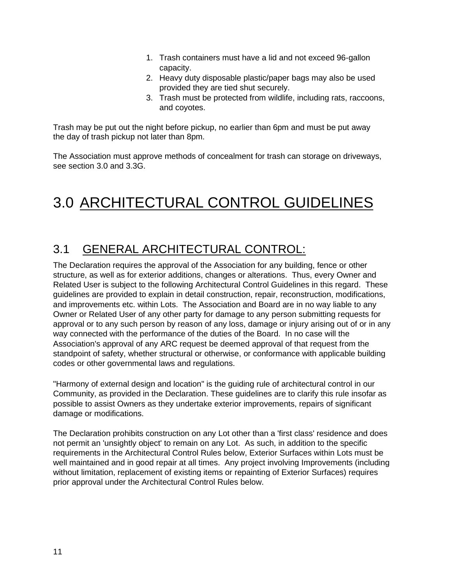- 1. Trash containers must have a lid and not exceed 96-gallon capacity.
- 2. Heavy duty disposable plastic/paper bags may also be used provided they are tied shut securely.
- 3. Trash must be protected from wildlife, including rats, raccoons, and coyotes.

Trash may be put out the night before pickup, no earlier than 6pm and must be put away the day of trash pickup not later than 8pm.

The Association must approve methods of concealment for trash can storage on driveways, see section 3.0 and 3.3G.

# 3.0 ARCHITECTURAL CONTROL GUIDELINES

# 3.1 GENERAL ARCHITECTURAL CONTROL:

The Declaration requires the approval of the Association for any building, fence or other structure, as well as for exterior additions, changes or alterations. Thus, every Owner and Related User is subject to the following Architectural Control Guidelines in this regard. These guidelines are provided to explain in detail construction, repair, reconstruction, modifications, and improvements etc. within Lots. The Association and Board are in no way liable to any Owner or Related User of any other party for damage to any person submitting requests for approval or to any such person by reason of any loss, damage or injury arising out of or in any way connected with the performance of the duties of the Board. In no case will the Association's approval of any ARC request be deemed approval of that request from the standpoint of safety, whether structural or otherwise, or conformance with applicable building codes or other governmental laws and regulations.

"Harmony of external design and location" is the guiding rule of architectural control in our Community, as provided in the Declaration. These guidelines are to clarify this rule insofar as possible to assist Owners as they undertake exterior improvements, repairs of significant damage or modifications.

The Declaration prohibits construction on any Lot other than a 'first class' residence and does not permit an 'unsightly object' to remain on any Lot. As such, in addition to the specific requirements in the Architectural Control Rules below, Exterior Surfaces within Lots must be well maintained and in good repair at all times. Any project involving Improvements (including without limitation, replacement of existing items or repainting of Exterior Surfaces) requires prior approval under the Architectural Control Rules below.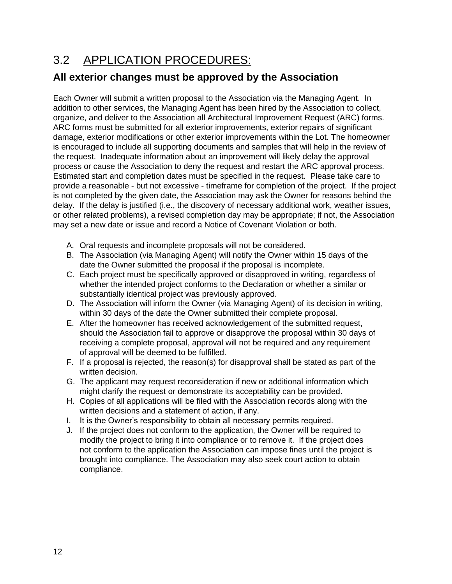# 3.2 APPLICATION PROCEDURES:

### **All exterior changes must be approved by the Association**

Each Owner will submit a written proposal to the Association via the Managing Agent. In addition to other services, the Managing Agent has been hired by the Association to collect, organize, and deliver to the Association all Architectural Improvement Request (ARC) forms. ARC forms must be submitted for all exterior improvements, exterior repairs of significant damage, exterior modifications or other exterior improvements within the Lot. The homeowner is encouraged to include all supporting documents and samples that will help in the review of the request. Inadequate information about an improvement will likely delay the approval process or cause the Association to deny the request and restart the ARC approval process. Estimated start and completion dates must be specified in the request. Please take care to provide a reasonable - but not excessive - timeframe for completion of the project. If the project is not completed by the given date, the Association may ask the Owner for reasons behind the delay. If the delay is justified (i.e., the discovery of necessary additional work, weather issues, or other related problems), a revised completion day may be appropriate; if not, the Association may set a new date or issue and record a Notice of Covenant Violation or both.

- A. Oral requests and incomplete proposals will not be considered.
- B. The Association (via Managing Agent) will notify the Owner within 15 days of the date the Owner submitted the proposal if the proposal is incomplete.
- C. Each project must be specifically approved or disapproved in writing, regardless of whether the intended project conforms to the Declaration or whether a similar or substantially identical project was previously approved.
- D. The Association will inform the Owner (via Managing Agent) of its decision in writing, within 30 days of the date the Owner submitted their complete proposal.
- E. After the homeowner has received acknowledgement of the submitted request, should the Association fail to approve or disapprove the proposal within 30 days of receiving a complete proposal, approval will not be required and any requirement of approval will be deemed to be fulfilled.
- F. If a proposal is rejected, the reason(s) for disapproval shall be stated as part of the written decision.
- G. The applicant may request reconsideration if new or additional information which might clarify the request or demonstrate its acceptability can be provided.
- H. Copies of all applications will be filed with the Association records along with the written decisions and a statement of action, if any.
- I. It is the Owner's responsibility to obtain all necessary permits required.
- J. If the project does not conform to the application, the Owner will be required to modify the project to bring it into compliance or to remove it. If the project does not conform to the application the Association can impose fines until the project is brought into compliance. The Association may also seek court action to obtain compliance.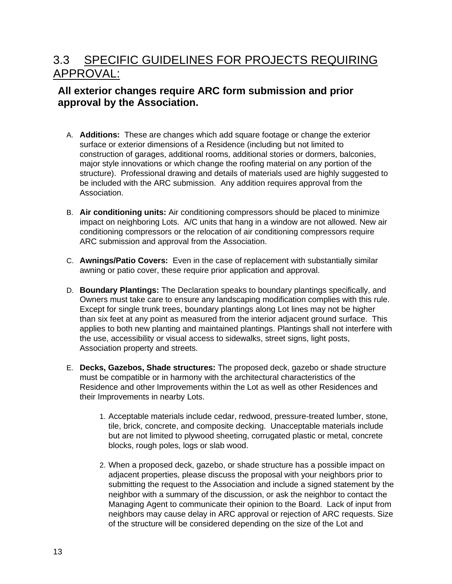# 3.3 SPECIFIC GUIDELINES FOR PROJECTS REQUIRING APPROVAL:

#### **All exterior changes require ARC form submission and prior approval by the Association.**

- A. **Additions:** These are changes which add square footage or change the exterior surface or exterior dimensions of a Residence (including but not limited to construction of garages, additional rooms, additional stories or dormers, balconies, major style innovations or which change the roofing material on any portion of the structure). Professional drawing and details of materials used are highly suggested to be included with the ARC submission. Any addition requires approval from the Association.
- B. **Air conditioning units:** Air conditioning compressors should be placed to minimize impact on neighboring Lots. A/C units that hang in a window are not allowed. New air conditioning compressors or the relocation of air conditioning compressors require ARC submission and approval from the Association.
- C. **Awnings/Patio Covers:** Even in the case of replacement with substantially similar awning or patio cover, these require prior application and approval.
- D. **Boundary Plantings:** The Declaration speaks to boundary plantings specifically, and Owners must take care to ensure any landscaping modification complies with this rule. Except for single trunk trees, boundary plantings along Lot lines may not be higher than six feet at any point as measured from the interior adjacent ground surface. This applies to both new planting and maintained plantings. Plantings shall not interfere with the use, accessibility or visual access to sidewalks, street signs, light posts, Association property and streets.
- E. **Decks, Gazebos, Shade structures:** The proposed deck, gazebo or shade structure must be compatible or in harmony with the architectural characteristics of the Residence and other Improvements within the Lot as well as other Residences and their Improvements in nearby Lots.
	- 1. Acceptable materials include cedar, redwood, pressure-treated lumber, stone, tile, brick, concrete, and composite decking. Unacceptable materials include but are not limited to plywood sheeting, corrugated plastic or metal, concrete blocks, rough poles, logs or slab wood.
	- 2. When a proposed deck, gazebo, or shade structure has a possible impact on adjacent properties, please discuss the proposal with your neighbors prior to submitting the request to the Association and include a signed statement by the neighbor with a summary of the discussion, or ask the neighbor to contact the Managing Agent to communicate their opinion to the Board. Lack of input from neighbors may cause delay in ARC approval or rejection of ARC requests. Size of the structure will be considered depending on the size of the Lot and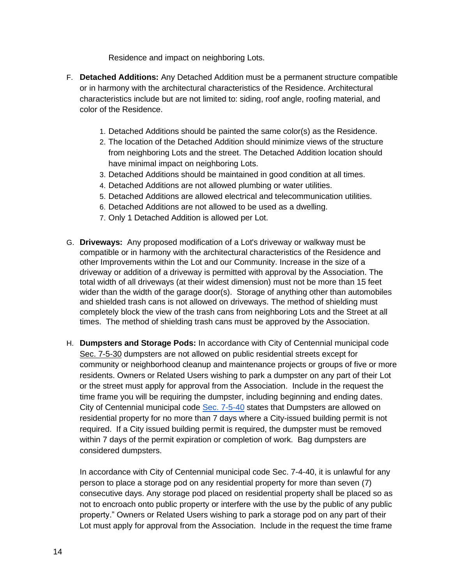Residence and impact on neighboring Lots.

- F. **Detached Additions:** Any Detached Addition must be a permanent structure compatible or in harmony with the architectural characteristics of the Residence. Architectural characteristics include but are not limited to: siding, roof angle, roofing material, and color of the Residence.
	- 1. Detached Additions should be painted the same color(s) as the Residence.
	- 2. The location of the Detached Addition should minimize views of the structure from neighboring Lots and the street. The Detached Addition location should have minimal impact on neighboring Lots.
	- 3. Detached Additions should be maintained in good condition at all times.
	- 4. Detached Additions are not allowed plumbing or water utilities.
	- 5. Detached Additions are allowed electrical and telecommunication utilities.
	- 6. Detached Additions are not allowed to be used as a dwelling.
	- 7. Only 1 Detached Addition is allowed per Lot.
- G. **Driveways:** Any proposed modification of a Lot's driveway or walkway must be compatible or in harmony with the architectural characteristics of the Residence and other Improvements within the Lot and our Community. Increase in the size of a driveway or addition of a driveway is permitted with approval by the Association. The total width of all driveways (at their widest dimension) must not be more than 15 feet wider than the width of the garage door(s). Storage of anything other than automobiles and shielded trash cans is not allowed on driveways. The method of shielding must completely block the view of the trash cans from neighboring Lots and the Street at all times. The method of shielding trash cans must be approved by the Association.
- H. **Dumpsters and Storage Pods:** In accordance with City of Centennial municipal code [Sec. 7-5-30](https://library.municode.com/co/centennial/codes/municipal_code?nodeId=CEMUCO_CH7HESAAN_ART4STPO_S7-4-30STPOPRPUPR) dumpsters are not allowed on public residential streets except for community or neighborhood cleanup and maintenance projects or groups of five or more residents. Owners or Related Users wishing to park a dumpster on any part of their Lot or the street must apply for approval from the Association. Include in the request the time frame you will be requiring the dumpster, including beginning and ending dates. City of Centennial municipal code [Sec. 7-5-40](https://library.municode.com/co/centennial/codes/municipal_code?nodeId=CEMUCO_CH7HESAAN_ART5TRRE_S7-5-40DUREREPR) states that Dumpsters are allowed on residential property for no more than 7 days where a City-issued building permit is not required. If a City issued building permit is required, the dumpster must be removed within 7 days of the permit expiration or completion of work. Bag dumpsters are considered dumpsters.

In accordance with City of Centennial municipal code Sec. 7-4-40, it is unlawful for any person to place a storage pod on any residential property for more than seven (7) consecutive days. Any storage pod placed on residential property shall be placed so as not to encroach onto public property or interfere with the use by the public of any public property." Owners or Related Users wishing to park a storage pod on any part of their Lot must apply for approval from the Association. Include in the request the time frame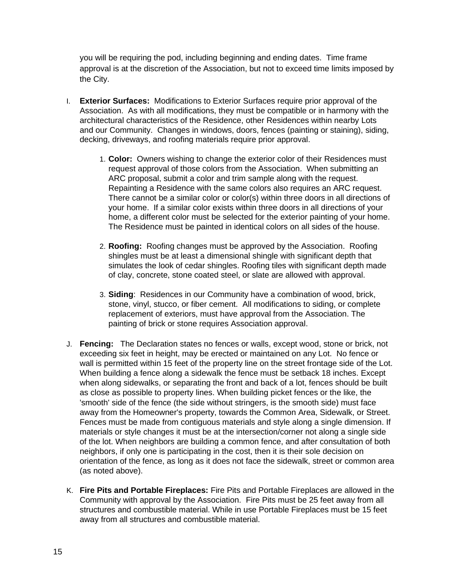you will be requiring the pod, including beginning and ending dates. Time frame approval is at the discretion of the Association, but not to exceed time limits imposed by the City.

- I. **Exterior Surfaces:** Modifications to Exterior Surfaces require prior approval of the Association. As with all modifications, they must be compatible or in harmony with the architectural characteristics of the Residence, other Residences within nearby Lots and our Community. Changes in windows, doors, fences (painting or staining), siding, decking, driveways, and roofing materials require prior approval.
	- 1. **Color:** Owners wishing to change the exterior color of their Residences must request approval of those colors from the Association. When submitting an ARC proposal, submit a color and trim sample along with the request. Repainting a Residence with the same colors also requires an ARC request. There cannot be a similar color or color(s) within three doors in all directions of your home. If a similar color exists within three doors in all directions of your home, a different color must be selected for the exterior painting of your home. The Residence must be painted in identical colors on all sides of the house.
	- 2. **Roofing:** Roofing changes must be approved by the Association. Roofing shingles must be at least a dimensional shingle with significant depth that simulates the look of cedar shingles. Roofing tiles with significant depth made of clay, concrete, stone coated steel, or slate are allowed with approval.
	- 3. **Siding**: Residences in our Community have a combination of wood, brick, stone, vinyl, stucco, or fiber cement. All modifications to siding, or complete replacement of exteriors, must have approval from the Association. The painting of brick or stone requires Association approval.
- J. **Fencing:** The Declaration states no fences or walls, except wood, stone or brick, not exceeding six feet in height, may be erected or maintained on any Lot. No fence or wall is permitted within 15 feet of the property line on the street frontage side of the Lot. When building a fence along a sidewalk the fence must be setback 18 inches. Except when along sidewalks, or separating the front and back of a lot, fences should be built as close as possible to property lines. When building picket fences or the like, the 'smooth' side of the fence (the side without stringers, is the smooth side) must face away from the Homeowner's property, towards the Common Area, Sidewalk, or Street. Fences must be made from contiguous materials and style along a single dimension. If materials or style changes it must be at the intersection/corner not along a single side of the lot. When neighbors are building a common fence, and after consultation of both neighbors, if only one is participating in the cost, then it is their sole decision on orientation of the fence, as long as it does not face the sidewalk, street or common area (as noted above).
- K. **Fire Pits and Portable Fireplaces:** Fire Pits and Portable Fireplaces are allowed in the Community with approval by the Association. Fire Pits must be 25 feet away from all structures and combustible material. While in use Portable Fireplaces must be 15 feet away from all structures and combustible material.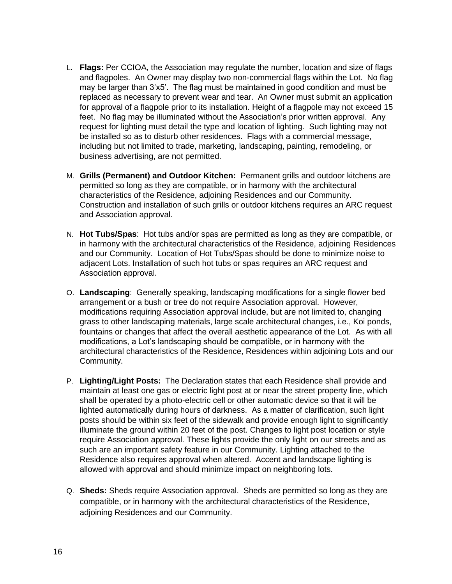- L. **Flags:** Per CCIOA, the Association may regulate the number, location and size of flags and flagpoles. An Owner may display two non-commercial flags within the Lot. No flag may be larger than 3'x5'. The flag must be maintained in good condition and must be replaced as necessary to prevent wear and tear. An Owner must submit an application for approval of a flagpole prior to its installation. Height of a flagpole may not exceed 15 feet. No flag may be illuminated without the Association's prior written approval. Any request for lighting must detail the type and location of lighting. Such lighting may not be installed so as to disturb other residences. Flags with a commercial message, including but not limited to trade, marketing, landscaping, painting, remodeling, or business advertising, are not permitted.
- M. **Grills (Permanent) and Outdoor Kitchen:** Permanent grills and outdoor kitchens are permitted so long as they are compatible, or in harmony with the architectural characteristics of the Residence, adjoining Residences and our Community. Construction and installation of such grills or outdoor kitchens requires an ARC request and Association approval.
- N. **Hot Tubs/Spas**: Hot tubs and/or spas are permitted as long as they are compatible, or in harmony with the architectural characteristics of the Residence, adjoining Residences and our Community. Location of Hot Tubs/Spas should be done to minimize noise to adjacent Lots. Installation of such hot tubs or spas requires an ARC request and Association approval.
- O. **Landscaping**: Generally speaking, landscaping modifications for a single flower bed arrangement or a bush or tree do not require Association approval. However, modifications requiring Association approval include, but are not limited to, changing grass to other landscaping materials, large scale architectural changes, i.e., Koi ponds, fountains or changes that affect the overall aesthetic appearance of the Lot. As with all modifications, a Lot's landscaping should be compatible, or in harmony with the architectural characteristics of the Residence, Residences within adjoining Lots and our Community.
- P. **Lighting/Light Posts:** The Declaration states that each Residence shall provide and maintain at least one gas or electric light post at or near the street property line, which shall be operated by a photo-electric cell or other automatic device so that it will be lighted automatically during hours of darkness. As a matter of clarification, such light posts should be within six feet of the sidewalk and provide enough light to significantly illuminate the ground within 20 feet of the post. Changes to light post location or style require Association approval. These lights provide the only light on our streets and as such are an important safety feature in our Community. Lighting attached to the Residence also requires approval when altered. Accent and landscape lighting is allowed with approval and should minimize impact on neighboring lots.
- Q. **Sheds:** Sheds require Association approval. Sheds are permitted so long as they are compatible, or in harmony with the architectural characteristics of the Residence, adjoining Residences and our Community.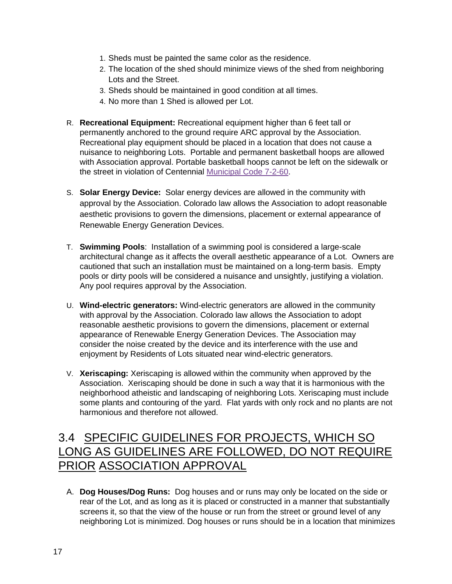- 1. Sheds must be painted the same color as the residence.
- 2. The location of the shed should minimize views of the shed from neighboring Lots and the Street.
- 3. Sheds should be maintained in good condition at all times.
- 4. No more than 1 Shed is allowed per Lot.
- R. **Recreational Equipment:** Recreational equipment higher than 6 feet tall or permanently anchored to the ground require ARC approval by the Association. Recreational play equipment should be placed in a location that does not cause a nuisance to neighboring Lots. Portable and permanent basketball hoops are allowed with Association approval. Portable basketball hoops cannot be left on the sidewalk or the street in violation of Centennial [Municipal Code 7-2-60.](https://library.municode.com/co/centennial/codes/municipal_code?nodeId=CEMUCO_CH7HESAAN_ART2NU_S7-2-60DUOBPUPR)
- S. **Solar Energy Device:** Solar energy devices are allowed in the community with approval by the Association. Colorado law allows the Association to adopt reasonable aesthetic provisions to govern the dimensions, placement or external appearance of Renewable Energy Generation Devices.
- T. **Swimming Pools**: Installation of a swimming pool is considered a large-scale architectural change as it affects the overall aesthetic appearance of a Lot. Owners are cautioned that such an installation must be maintained on a long-term basis. Empty pools or dirty pools will be considered a nuisance and unsightly, justifying a violation. Any pool requires approval by the Association.
- U. **Wind-electric generators:** Wind-electric generators are allowed in the community with approval by the Association. Colorado law allows the Association to adopt reasonable aesthetic provisions to govern the dimensions, placement or external appearance of Renewable Energy Generation Devices. The Association may consider the noise created by the device and its interference with the use and enjoyment by Residents of Lots situated near wind-electric generators.
- V. **Xeriscaping:** Xeriscaping is allowed within the community when approved by the Association. Xeriscaping should be done in such a way that it is harmonious with the neighborhood atheistic and landscaping of neighboring Lots. Xeriscaping must include some plants and contouring of the yard. Flat yards with only rock and no plants are not harmonious and therefore not allowed.

### 3.4 SPECIFIC GUIDELINES FOR PROJECTS, WHICH SO LONG AS GUIDELINES ARE FOLLOWED, DO NOT REQUIRE PRIOR ASSOCIATION APPROVAL

A. **Dog Houses/Dog Runs:** Dog houses and or runs may only be located on the side or rear of the Lot, and as long as it is placed or constructed in a manner that substantially screens it, so that the view of the house or run from the street or ground level of any neighboring Lot is minimized. Dog houses or runs should be in a location that minimizes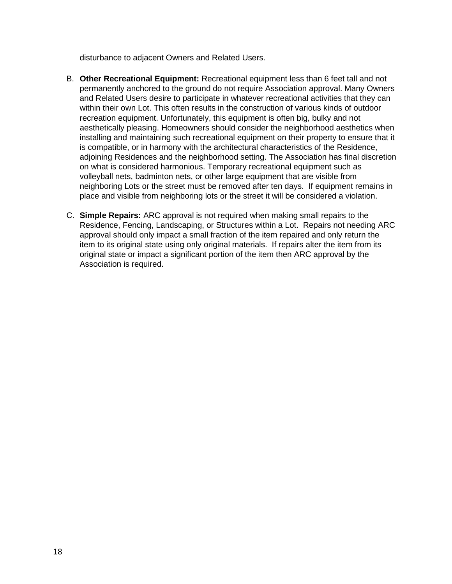disturbance to adjacent Owners and Related Users.

- B. **Other Recreational Equipment:** Recreational equipment less than 6 feet tall and not permanently anchored to the ground do not require Association approval. Many Owners and Related Users desire to participate in whatever recreational activities that they can within their own Lot. This often results in the construction of various kinds of outdoor recreation equipment. Unfortunately, this equipment is often big, bulky and not aesthetically pleasing. Homeowners should consider the neighborhood aesthetics when installing and maintaining such recreational equipment on their property to ensure that it is compatible, or in harmony with the architectural characteristics of the Residence, adjoining Residences and the neighborhood setting. The Association has final discretion on what is considered harmonious. Temporary recreational equipment such as volleyball nets, badminton nets, or other large equipment that are visible from neighboring Lots or the street must be removed after ten days. If equipment remains in place and visible from neighboring lots or the street it will be considered a violation.
- C. **Simple Repairs:** ARC approval is not required when making small repairs to the Residence, Fencing, Landscaping, or Structures within a Lot. Repairs not needing ARC approval should only impact a small fraction of the item repaired and only return the item to its original state using only original materials. If repairs alter the item from its original state or impact a significant portion of the item then ARC approval by the Association is required.